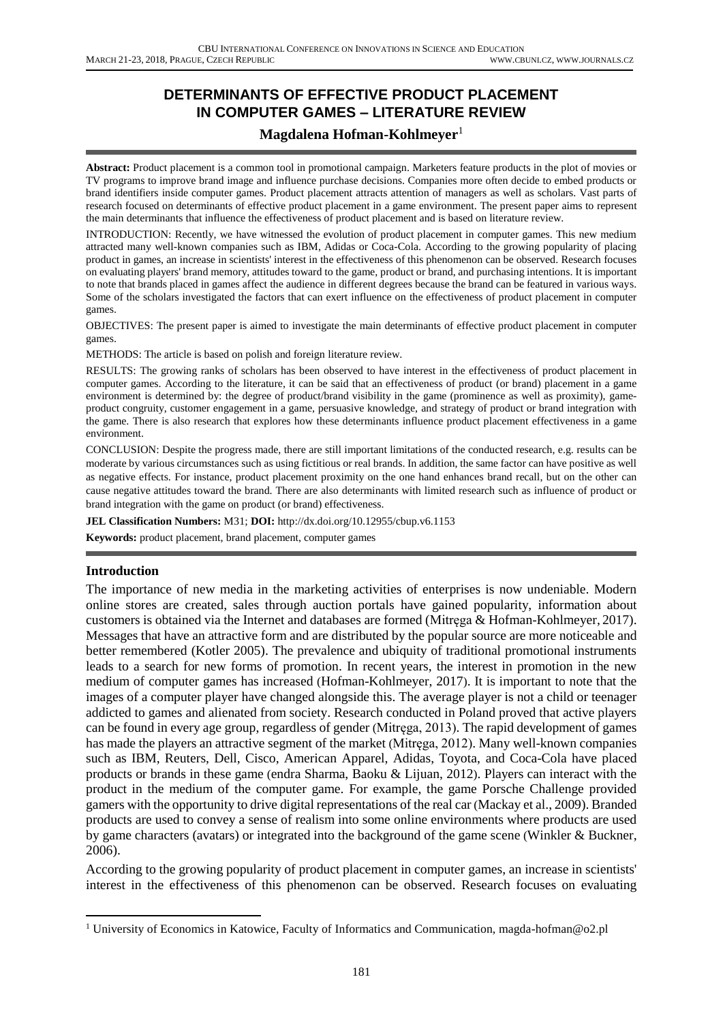# **DETERMINANTS OF EFFECTIVE PRODUCT PLACEMENT IN COMPUTER GAMES – LITERATURE REVIEW**

## **Magdalena Hofman-Kohlmeyer**<sup>1</sup>

**Abstract:** Product placement is a common tool in promotional campaign. Marketers feature products in the plot of movies or TV programs to improve brand image and influence purchase decisions. Companies more often decide to embed products or brand identifiers inside computer games. Product placement attracts attention of managers as well as scholars. Vast parts of research focused on determinants of effective product placement in a game environment. The present paper aims to represent the main determinants that influence the effectiveness of product placement and is based on literature review.

INTRODUCTION: Recently, we have witnessed the evolution of product placement in computer games. This new medium attracted many well-known companies such as IBM, Adidas or Coca-Cola. According to the growing popularity of placing product in games, an increase in scientists' interest in the effectiveness of this phenomenon can be observed. Research focuses on evaluating players' brand memory, attitudes toward to the game, product or brand, and purchasing intentions. It is important to note that brands placed in games affect the audience in different degrees because the brand can be featured in various ways. Some of the scholars investigated the factors that can exert influence on the effectiveness of product placement in computer games.

OBJECTIVES: The present paper is aimed to investigate the main determinants of effective product placement in computer games.

METHODS: The article is based on polish and foreign literature review.

RESULTS: The growing ranks of scholars has been observed to have interest in the effectiveness of product placement in computer games. According to the literature, it can be said that an effectiveness of product (or brand) placement in a game environment is determined by: the degree of product/brand visibility in the game (prominence as well as proximity), gameproduct congruity, customer engagement in a game, persuasive knowledge, and strategy of product or brand integration with the game. There is also research that explores how these determinants influence product placement effectiveness in a game environment.

CONCLUSION: Despite the progress made, there are still important limitations of the conducted research, e.g. results can be moderate by various circumstances such as using fictitious or real brands. In addition, the same factor can have positive as well as negative effects. For instance, product placement proximity on the one hand enhances brand recall, but on the other can cause negative attitudes toward the brand. There are also determinants with limited research such as influence of product or brand integration with the game on product (or brand) effectiveness.

**JEL Classification Numbers:** M31; **DOI:** http://dx.doi.org/10.12955/cbup.v6.1153

**Keywords:** product placement, brand placement, computer games

### **Introduction**

The importance of new media in the marketing activities of enterprises is now undeniable. Modern online stores are created, sales through auction portals have gained popularity, information about customers is obtained via the Internet and databases are formed (Mitręga & Hofman-Kohlmeyer, 2017). Messages that have an attractive form and are distributed by the popular source are more noticeable and better remembered (Kotler 2005). The prevalence and ubiquity of traditional promotional instruments leads to a search for new forms of promotion. In recent years, the interest in promotion in the new medium of computer games has increased (Hofman-Kohlmeyer, 2017). It is important to note that the images of a computer player have changed alongside this. The average player is not a child or teenager addicted to games and alienated from society. Research conducted in Poland proved that active players can be found in every age group, regardless of gender (Mitręga, 2013). The rapid development of games has made the players an attractive segment of the market (Mitręga, 2012). Many well-known companies such as IBM, Reuters, Dell, Cisco, American Apparel, Adidas, Toyota, and Coca-Cola have placed products or brands in these game (endra Sharma, Baoku & Lijuan, 2012). Players can interact with the product in the medium of the computer game. For example, the game Porsche Challenge provided gamers with the opportunity to drive digital representations of the real car (Mackay et al., 2009). Branded products are used to convey a sense of realism into some online environments where products are used by game characters (avatars) or integrated into the background of the game scene (Winkler & Buckner, 2006).

According to the growing popularity of product placement in computer games, an increase in scientists' interest in the effectiveness of this phenomenon can be observed. Research focuses on evaluating

<sup>1</sup> <sup>1</sup> University of Economics in Katowice, Faculty of Informatics and Communication, magda-hofman@o2.pl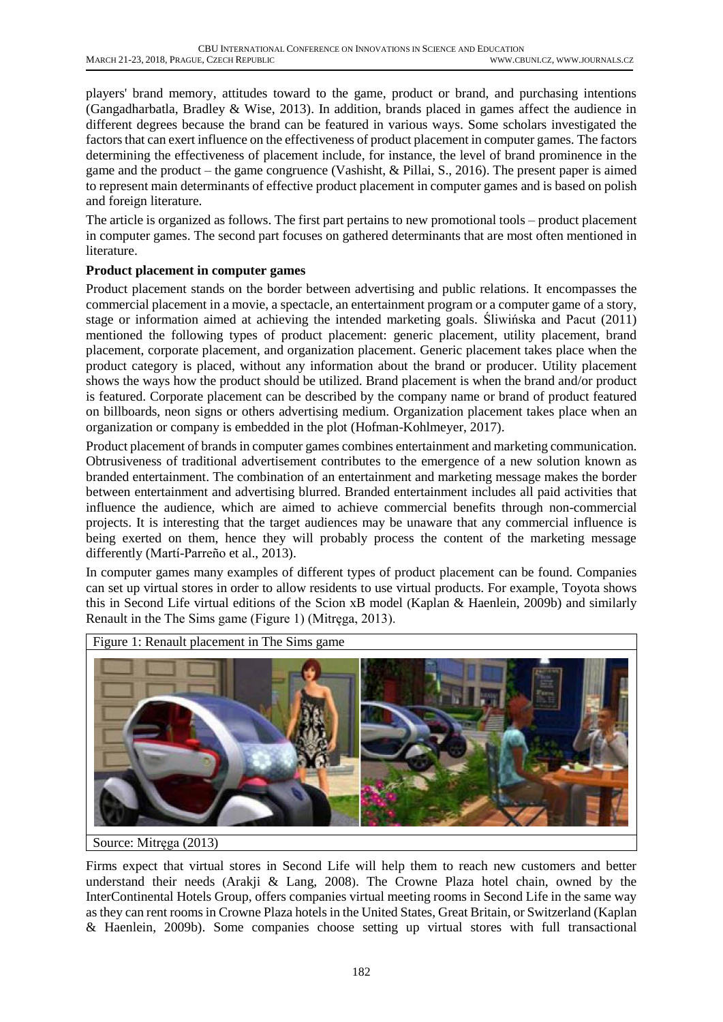players' brand memory, attitudes toward to the game, product or brand, and purchasing intentions (Gangadharbatla, Bradley & Wise, 2013). In addition, brands placed in games affect the audience in different degrees because the brand can be featured in various ways. Some scholars investigated the factors that can exert influence on the effectiveness of product placement in computer games. The factors determining the effectiveness of placement include, for instance, the level of brand prominence in the game and the product – the game congruence (Vashisht, & Pillai, S., 2016). The present paper is aimed to represent main determinants of effective product placement in computer games and is based on polish and foreign literature.

The article is organized as follows. The first part pertains to new promotional tools – product placement in computer games. The second part focuses on gathered determinants that are most often mentioned in literature.

### **Product placement in computer games**

Product placement stands on the border between advertising and public relations. It encompasses the commercial placement in a movie, a spectacle, an entertainment program or a computer game of a story, stage or information aimed at achieving the intended marketing goals. Śliwińska and Pacut (2011) mentioned the following types of product placement: generic placement, utility placement, brand placement, corporate placement, and organization placement. Generic placement takes place when the product category is placed, without any information about the brand or producer. Utility placement shows the ways how the product should be utilized. Brand placement is when the brand and/or product is featured. Corporate placement can be described by the company name or brand of product featured on billboards, neon signs or others advertising medium. Organization placement takes place when an organization or company is embedded in the plot (Hofman-Kohlmeyer, 2017).

Product placement of brands in computer games combines entertainment and marketing communication. Obtrusiveness of traditional advertisement contributes to the emergence of a new solution known as branded entertainment. The combination of an entertainment and marketing message makes the border between entertainment and advertising blurred. Branded entertainment includes all paid activities that influence the audience, which are aimed to achieve commercial benefits through non-commercial projects. It is interesting that the target audiences may be unaware that any commercial influence is being exerted on them, hence they will probably process the content of the marketing message differently (Martí-Parreño et al., 2013).

In computer games many examples of different types of product placement can be found. Companies can set up virtual stores in order to allow residents to use virtual products. For example, Toyota shows this in Second Life virtual editions of the Scion xB model (Kaplan & Haenlein, 2009b) and similarly Renault in the The Sims game (Figure 1) (Mitręga, 2013).



Source: Mitręga (2013)

Firms expect that virtual stores in Second Life will help them to reach new customers and better understand their needs (Arakji & Lang, 2008). The Crowne Plaza hotel chain, owned by the InterContinental Hotels Group, offers companies virtual meeting rooms in Second Life in the same way as they can rent rooms in Crowne Plaza hotels in the United States, Great Britain, or Switzerland (Kaplan & Haenlein, 2009b). Some companies choose setting up virtual stores with full transactional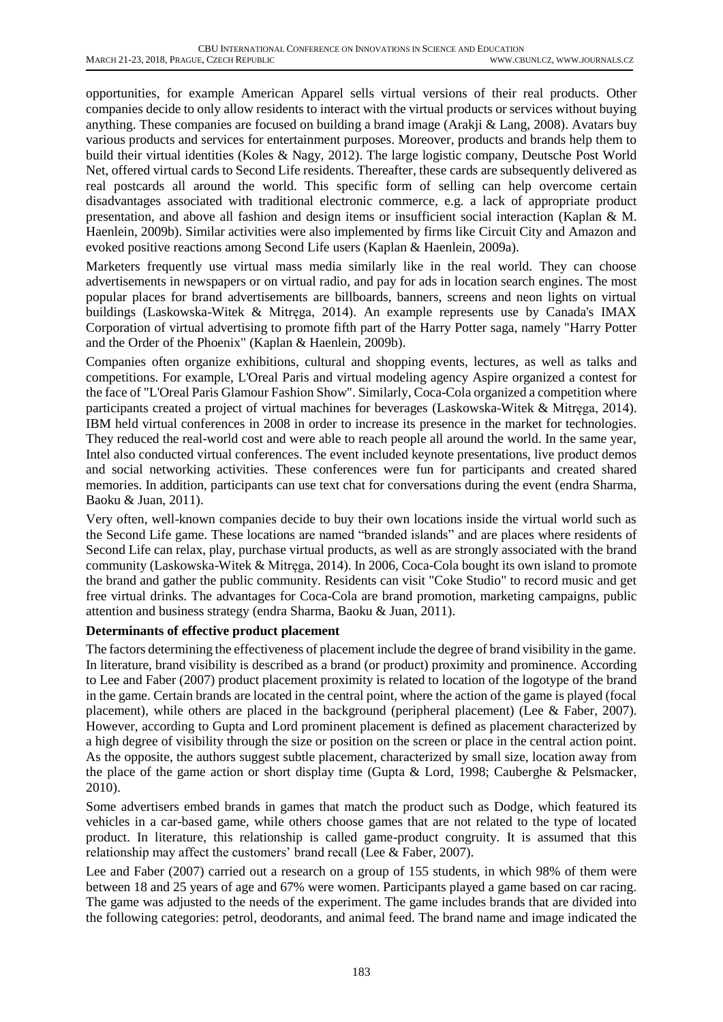opportunities, for example American Apparel sells virtual versions of their real products. Other companies decide to only allow residents to interact with the virtual products or services without buying anything. These companies are focused on building a brand image (Arakji & Lang, 2008). Avatars buy various products and services for entertainment purposes. Moreover, products and brands help them to build their virtual identities (Koles & Nagy, 2012). The large logistic company, Deutsche Post World Net, offered virtual cards to Second Life residents. Thereafter, these cards are subsequently delivered as real postcards all around the world. This specific form of selling can help overcome certain disadvantages associated with traditional electronic commerce, e.g. a lack of appropriate product presentation, and above all fashion and design items or insufficient social interaction (Kaplan & M. Haenlein, 2009b). Similar activities were also implemented by firms like Circuit City and Amazon and evoked positive reactions among Second Life users (Kaplan & Haenlein, 2009a).

Marketers frequently use virtual mass media similarly like in the real world. They can choose advertisements in newspapers or on virtual radio, and pay for ads in location search engines. The most popular places for brand advertisements are billboards, banners, screens and neon lights on virtual buildings (Laskowska-Witek & Mitręga, 2014). An example represents use by Canada's IMAX Corporation of virtual advertising to promote fifth part of the Harry Potter saga, namely "Harry Potter and the Order of the Phoenix" (Kaplan & Haenlein, 2009b).

Companies often organize exhibitions, cultural and shopping events, lectures, as well as talks and competitions. For example, L'Oreal Paris and virtual modeling agency Aspire organized a contest for the face of "L'Oreal Paris Glamour Fashion Show". Similarly, Coca-Cola organized a competition where participants created a project of virtual machines for beverages (Laskowska-Witek & Mitręga, 2014). IBM held virtual conferences in 2008 in order to increase its presence in the market for technologies. They reduced the real-world cost and were able to reach people all around the world. In the same year, Intel also conducted virtual conferences. The event included keynote presentations, live product demos and social networking activities. These conferences were fun for participants and created shared memories. In addition, participants can use text chat for conversations during the event (endra Sharma, Baoku & Juan, 2011).

Very often, well-known companies decide to buy their own locations inside the virtual world such as the Second Life game. These locations are named "branded islands" and are places where residents of Second Life can relax, play, purchase virtual products, as well as are strongly associated with the brand community (Laskowska-Witek & Mitręga, 2014). In 2006, Coca-Cola bought its own island to promote the brand and gather the public community. Residents can visit "Coke Studio" to record music and get free virtual drinks. The advantages for Coca-Cola are brand promotion, marketing campaigns, public attention and business strategy (endra Sharma, Baoku & Juan, 2011).

### **Determinants of effective product placement**

The factors determining the effectiveness of placement include the degree of brand visibility in the game. In literature, brand visibility is described as a brand (or product) proximity and prominence. According to Lee and Faber (2007) product placement proximity is related to location of the logotype of the brand in the game. Certain brands are located in the central point, where the action of the game is played (focal placement), while others are placed in the background (peripheral placement) (Lee & Faber, 2007). However, according to Gupta and Lord prominent placement is defined as placement characterized by a high degree of visibility through the size or position on the screen or place in the central action point. As the opposite, the authors suggest subtle placement, characterized by small size, location away from the place of the game action or short display time (Gupta & Lord, 1998; Cauberghe & Pelsmacker, 2010).

Some advertisers embed brands in games that match the product such as Dodge, which featured its vehicles in a car-based game, while others choose games that are not related to the type of located product. In literature, this relationship is called game-product congruity. It is assumed that this relationship may affect the customers' brand recall (Lee & Faber, 2007).

Lee and Faber (2007) carried out a research on a group of 155 students, in which 98% of them were between 18 and 25 years of age and 67% were women. Participants played a game based on car racing. The game was adjusted to the needs of the experiment. The game includes brands that are divided into the following categories: petrol, deodorants, and animal feed. The brand name and image indicated the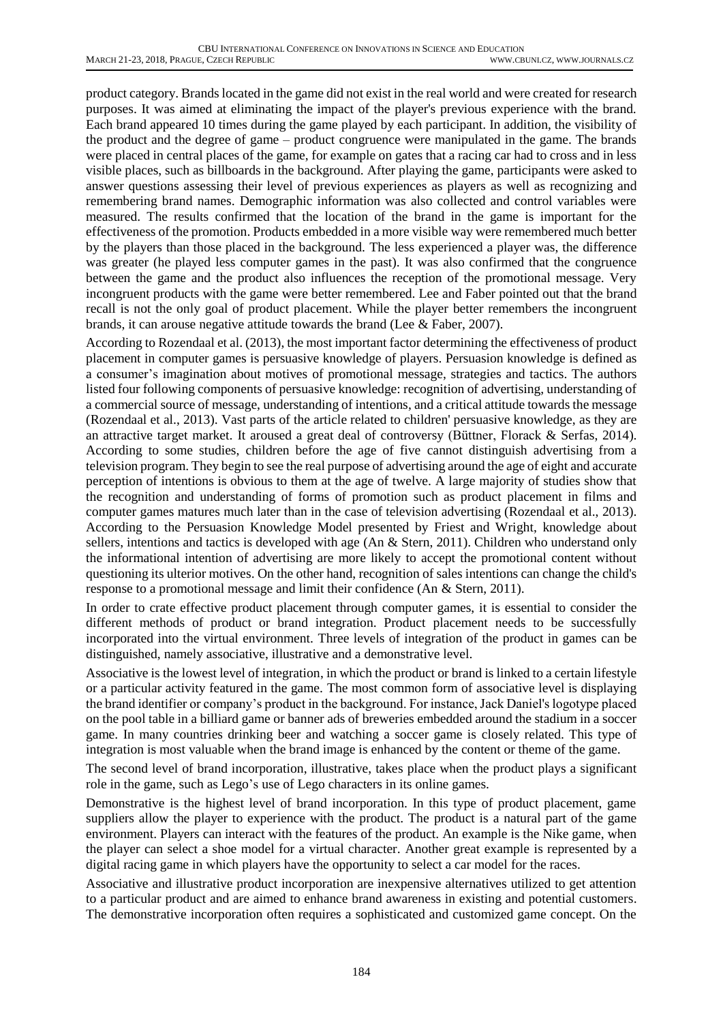product category. Brands located in the game did not exist in the real world and were created for research purposes. It was aimed at eliminating the impact of the player's previous experience with the brand. Each brand appeared 10 times during the game played by each participant. In addition, the visibility of the product and the degree of game – product congruence were manipulated in the game. The brands were placed in central places of the game, for example on gates that a racing car had to cross and in less visible places, such as billboards in the background. After playing the game, participants were asked to answer questions assessing their level of previous experiences as players as well as recognizing and remembering brand names. Demographic information was also collected and control variables were measured. The results confirmed that the location of the brand in the game is important for the effectiveness of the promotion. Products embedded in a more visible way were remembered much better by the players than those placed in the background. The less experienced a player was, the difference was greater (he played less computer games in the past). It was also confirmed that the congruence between the game and the product also influences the reception of the promotional message. Very incongruent products with the game were better remembered. Lee and Faber pointed out that the brand recall is not the only goal of product placement. While the player better remembers the incongruent brands, it can arouse negative attitude towards the brand (Lee & Faber, 2007).

According to Rozendaal et al. (2013), the most important factor determining the effectiveness of product placement in computer games is persuasive knowledge of players. Persuasion knowledge is defined as a consumer's imagination about motives of promotional message, strategies and tactics. The authors listed four following components of persuasive knowledge: recognition of advertising, understanding of a commercial source of message, understanding of intentions, and a critical attitude towards the message (Rozendaal et al., 2013). Vast parts of the article related to children' persuasive knowledge, as they are an attractive target market. It aroused a great deal of controversy (Büttner, Florack & Serfas, 2014). According to some studies, children before the age of five cannot distinguish advertising from a television program. They begin to see the real purpose of advertising around the age of eight and accurate perception of intentions is obvious to them at the age of twelve. A large majority of studies show that the recognition and understanding of forms of promotion such as product placement in films and computer games matures much later than in the case of television advertising (Rozendaal et al., 2013). According to the Persuasion Knowledge Model presented by Friest and Wright, knowledge about sellers, intentions and tactics is developed with age (An & Stern, 2011). Children who understand only the informational intention of advertising are more likely to accept the promotional content without questioning its ulterior motives. On the other hand, recognition of sales intentions can change the child's response to a promotional message and limit their confidence (An & Stern, 2011).

In order to crate effective product placement through computer games, it is essential to consider the different methods of product or brand integration. Product placement needs to be successfully incorporated into the virtual environment. Three levels of integration of the product in games can be distinguished, namely associative, illustrative and a demonstrative level.

Associative is the lowest level of integration, in which the product or brand is linked to a certain lifestyle or a particular activity featured in the game. The most common form of associative level is displaying the brand identifier or company's product in the background. For instance, Jack Daniel's logotype placed on the pool table in a billiard game or banner ads of breweries embedded around the stadium in a soccer game. In many countries drinking beer and watching a soccer game is closely related. This type of integration is most valuable when the brand image is enhanced by the content or theme of the game.

The second level of brand incorporation, illustrative, takes place when the product plays a significant role in the game, such as Lego's use of Lego characters in its online games.

Demonstrative is the highest level of brand incorporation. In this type of product placement, game suppliers allow the player to experience with the product. The product is a natural part of the game environment. Players can interact with the features of the product. An example is the Nike game, when the player can select a shoe model for a virtual character. Another great example is represented by a digital racing game in which players have the opportunity to select a car model for the races.

Associative and illustrative product incorporation are inexpensive alternatives utilized to get attention to a particular product and are aimed to enhance brand awareness in existing and potential customers. The demonstrative incorporation often requires a sophisticated and customized game concept. On the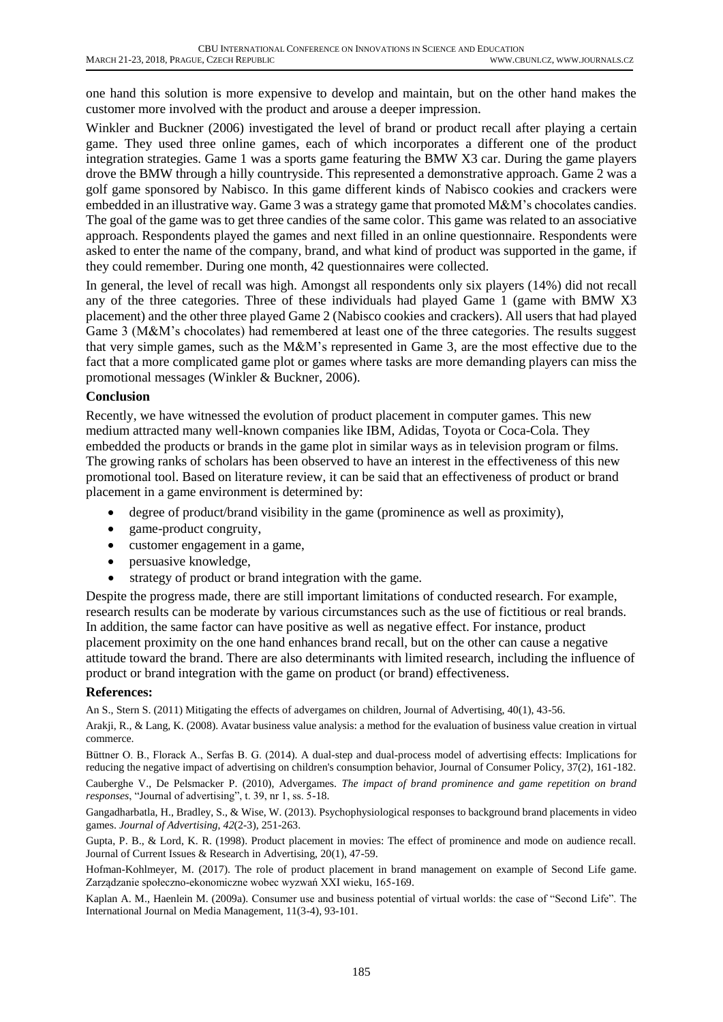one hand this solution is more expensive to develop and maintain, but on the other hand makes the customer more involved with the product and arouse a deeper impression.

Winkler and Buckner (2006) investigated the level of brand or product recall after playing a certain game. They used three online games, each of which incorporates a different one of the product integration strategies. Game 1 was a sports game featuring the BMW X3 car. During the game players drove the BMW through a hilly countryside. This represented a demonstrative approach. Game 2 was a golf game sponsored by Nabisco. In this game different kinds of Nabisco cookies and crackers were embedded in an illustrative way. Game 3 was a strategy game that promoted M&M's chocolates candies. The goal of the game was to get three candies of the same color. This game was related to an associative approach. Respondents played the games and next filled in an online questionnaire. Respondents were asked to enter the name of the company, brand, and what kind of product was supported in the game, if they could remember. During one month, 42 questionnaires were collected.

In general, the level of recall was high. Amongst all respondents only six players (14%) did not recall any of the three categories. Three of these individuals had played Game 1 (game with BMW X3 placement) and the other three played Game 2 (Nabisco cookies and crackers). All users that had played Game 3 (M&M's chocolates) had remembered at least one of the three categories. The results suggest that very simple games, such as the M&M's represented in Game 3, are the most effective due to the fact that a more complicated game plot or games where tasks are more demanding players can miss the promotional messages (Winkler & Buckner, 2006).

#### **Conclusion**

Recently, we have witnessed the evolution of product placement in computer games. This new medium attracted many well-known companies like IBM, Adidas, Toyota or Coca-Cola. They embedded the products or brands in the game plot in similar ways as in television program or films. The growing ranks of scholars has been observed to have an interest in the effectiveness of this new promotional tool. Based on literature review, it can be said that an effectiveness of product or brand placement in a game environment is determined by:

- degree of product/brand visibility in the game (prominence as well as proximity),
- game-product congruity,
- customer engagement in a game,
- persuasive knowledge,
- strategy of product or brand integration with the game.

Despite the progress made, there are still important limitations of conducted research. For example, research results can be moderate by various circumstances such as the use of fictitious or real brands. In addition, the same factor can have positive as well as negative effect. For instance, product placement proximity on the one hand enhances brand recall, but on the other can cause a negative attitude toward the brand. There are also determinants with limited research, including the influence of product or brand integration with the game on product (or brand) effectiveness.

#### **References:**

An S., Stern S. (2011) Mitigating the effects of advergames on children, Journal of Advertising, 40(1), 43-56.

Arakji, R., & Lang, K. (2008). Avatar business value analysis: a method for the evaluation of business value creation in virtual commerce.

Büttner O. B., Florack A., Serfas B. G. (2014). A dual-step and dual-process model of advertising effects: Implications for reducing the negative impact of advertising on children's consumption behavior, Journal of Consumer Policy, 37(2), 161-182.

Cauberghe V., De Pelsmacker P. (2010), Advergames. *The impact of brand prominence and game repetition on brand responses*, "Journal of advertising", t. 39, nr 1, ss. 5-18.

Gangadharbatla, H., Bradley, S., & Wise, W. (2013). Psychophysiological responses to background brand placements in video games. *Journal of Advertising*, *42*(2-3), 251-263.

Gupta, P. B., & Lord, K. R. (1998). Product placement in movies: The effect of prominence and mode on audience recall. Journal of Current Issues & Research in Advertising, 20(1), 47-59.

Hofman-Kohlmeyer, M. (2017). The role of product placement in brand management on example of Second Life game. Zarządzanie społeczno-ekonomiczne wobec wyzwań XXI wieku, 165-169.

Kaplan A. M., Haenlein M. (2009a). Consumer use and business potential of virtual worlds: the case of "Second Life". The International Journal on Media Management, 11(3-4), 93-101.